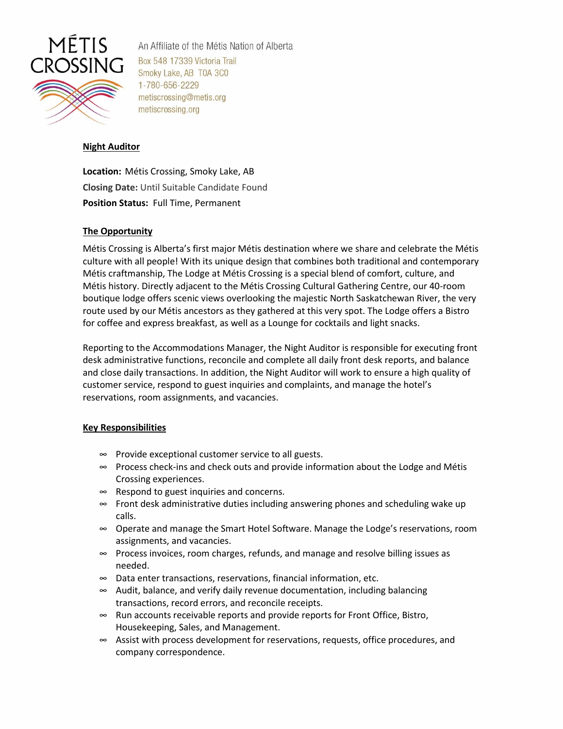

An Affiliate of the Métis Nation of Alberta Box 548 17339 Victoria Trail Smoky Lake, AB T0A 3C0 1-780-656-2229 metiscrossing@metis.org metiscrossing.org

# **Night Auditor**

**Location:** Métis Crossing, Smoky Lake, AB **Closing Date:** Until Suitable Candidate Found **Position Status:** Full Time, Permanent

## **The Opportunity**

Métis Crossing is Alberta's first major Métis destination where we share and celebrate the Métis culture with all people! With its unique design that combines both traditional and contemporary Métis craftmanship, The Lodge at Métis Crossing is a special blend of comfort, culture, and Métis history. Directly adjacent to the Métis Crossing Cultural Gathering Centre, our 40-room boutique lodge offers scenic views overlooking the majestic North Saskatchewan River, the very route used by our Métis ancestors as they gathered at this very spot. The Lodge offers a Bistro for coffee and express breakfast, as well as a Lounge for cocktails and light snacks.

Reporting to the Accommodations Manager, the Night Auditor is responsible for executing front desk administrative functions, reconcile and complete all daily front desk reports, and balance and close daily transactions. In addition, the Night Auditor will work to ensure a high quality of customer service, respond to guest inquiries and complaints, and manage the hotel's reservations, room assignments, and vacancies.

### **Key Responsibilities**

- ∞ Provide exceptional customer service to all guests.
- ∞ Process check-ins and check outs and provide information about the Lodge and Métis Crossing experiences.
- ∞ Respond to guest inquiries and concerns.
- ∞ Front desk administrative duties including answering phones and scheduling wake up calls.
- ∞ Operate and manage the Smart Hotel Software. Manage the Lodge's reservations, room assignments, and vacancies.
- ∞ Process invoices, room charges, refunds, and manage and resolve billing issues as needed.
- ∞ Data enter transactions, reservations, financial information, etc.
- ∞ Audit, balance, and verify daily revenue documentation, including balancing transactions, record errors, and reconcile receipts.
- ∞ Run accounts receivable reports and provide reports for Front Office, Bistro, Housekeeping, Sales, and Management.
- ∞ Assist with process development for reservations, requests, office procedures, and company correspondence.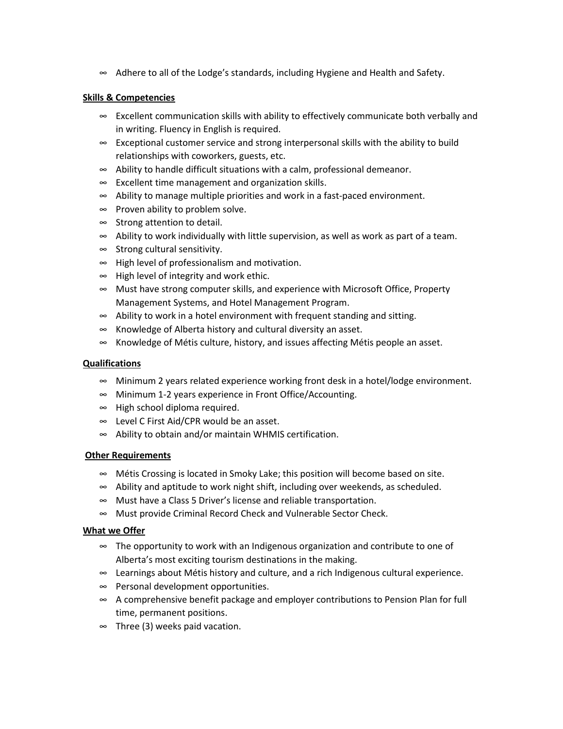∞ Adhere to all of the Lodge's standards, including Hygiene and Health and Safety.

# **Skills & Competencies**

- ∞ Excellent communication skills with ability to effectively communicate both verbally and in writing. Fluency in English is required.
- ∞ Exceptional customer service and strong interpersonal skills with the ability to build relationships with coworkers, guests, etc.
- ∞ Ability to handle difficult situations with a calm, professional demeanor.
- ∞ Excellent time management and organization skills.
- ∞ Ability to manage multiple priorities and work in a fast-paced environment.
- ∞ Proven ability to problem solve.
- ∞ Strong attention to detail.
- ∞ Ability to work individually with little supervision, as well as work as part of a team.
- ∞ Strong cultural sensitivity.
- ∞ High level of professionalism and motivation.
- ∞ High level of integrity and work ethic.
- ∞ Must have strong computer skills, and experience with Microsoft Office, Property Management Systems, and Hotel Management Program.
- ∞ Ability to work in a hotel environment with frequent standing and sitting.
- ∞ Knowledge of Alberta history and cultural diversity an asset.
- ∞ Knowledge of Métis culture, history, and issues affecting Métis people an asset.

### **Qualifications**

- ∞ Minimum 2 years related experience working front desk in a hotel/lodge environment.
- ∞ Minimum 1-2 years experience in Front Office/Accounting.
- ∞ High school diploma required.
- ∞ Level C First Aid/CPR would be an asset.
- ∞ Ability to obtain and/or maintain WHMIS certification.

### **Other Requirements**

- ∞ Métis Crossing is located in Smoky Lake; this position will become based on site.
- ∞ Ability and aptitude to work night shift, including over weekends, as scheduled.
- ∞ Must have a Class 5 Driver's license and reliable transportation.
- ∞ Must provide Criminal Record Check and Vulnerable Sector Check.

### **What we Offer**

- ∞ The opportunity to work with an Indigenous organization and contribute to one of Alberta's most exciting tourism destinations in the making.
- ∞ Learnings about Métis history and culture, and a rich Indigenous cultural experience.
- ∞ Personal development opportunities.
- ∞ A comprehensive benefit package and employer contributions to Pension Plan for full time, permanent positions.
- ∞ Three (3) weeks paid vacation.